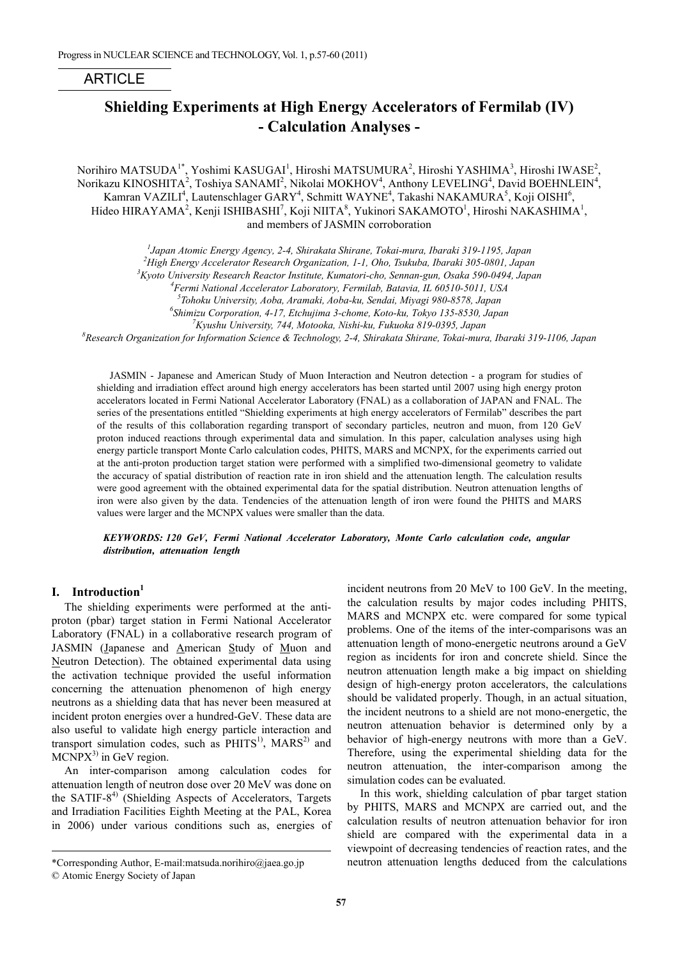## ARTICLE

# **Shielding Experiments at High Energy Accelerators of Fermilab (IV) - Calculation Analyses -**

Norihiro MATSUDA $^{1*}$ , Yoshimi KASUGAI $^{1}$ , Hiroshi MATSUMURA $^{2}$ , Hiroshi YASHIMA $^{3}$ , Hiroshi IWASE $^{2}$ , Norikazu KINOSHITA $^2$ , Toshiya SANAMI $^2$ , Nikolai MOKHOV $^4$ , Anthony LEVELING $^4$ , David BOEHNLEIN $^4$ , Kamran VAZILI<sup>4</sup>, Lautenschlager GARY<sup>4</sup>, Schmitt WAYNE<sup>4</sup>, Takashi NAKAMURA<sup>5</sup>, Koji OISHI<sup>6</sup>, Hideo HIRAYAMA<sup>2</sup>, Kenji ISHIBASHI<sup>7</sup>, Koji NIITA<sup>8</sup>, Yukinori SAKAMOTO<sup>1</sup>, Hiroshi NAKASHIMA<sup>1</sup>, and members of JASMIN corroboration

*1 Japan Atomic Energy Agency, 2-4, Shirakata Shirane, Tokai-mura, Ibaraki 319-1195, Japan* 

<sup>2</sup> High Energy Accelerator Research Organization, 1-1, Oho, Tsukuba, Ibaraki 305-0801, Japan <sup>3</sup> Kyote University Research Research Institute Kymatori che Sennan gyv. Ogeka 500,0404, Iapan

*Kyoto University Research Reactor Institute, Kumatori-cho, Sennan-gun, Osaka 590-0494, Japan*

*4 Fermi National Accelerator Laboratory, Fermilab, Batavia, IL 60510-5011, USA*

*5 Tohoku University, Aoba, Aramaki, Aoba-ku, Sendai, Miyagi 980-8578, Japan*

*6 Shimizu Corporation, 4-17, Etchujima 3-chome, Koto-ku, Tokyo 135-8530, Japan*

<sup>7</sup> *Kyushu University, 744, Motooka, Nishi-ku, Fukuoka 819-0395, Japan* 88<br><sup>8</sup> Besearch Organization for Information Sejance & Technology, 2.4. Shingkata Shingne, Tokaj mura

*Research Organization for Information Science & Technology, 2-4, Shirakata Shirane, Tokai-mura, Ibaraki 319-1106, Japan* 

JASMIN - Japanese and American Study of Muon Interaction and Neutron detection - a program for studies of shielding and irradiation effect around high energy accelerators has been started until 2007 using high energy proton accelerators located in Fermi National Accelerator Laboratory (FNAL) as a collaboration of JAPAN and FNAL. The series of the presentations entitled "Shielding experiments at high energy accelerators of Fermilab" describes the part of the results of this collaboration regarding transport of secondary particles, neutron and muon, from 120 GeV proton induced reactions through experimental data and simulation. In this paper, calculation analyses using high energy particle transport Monte Carlo calculation codes, PHITS, MARS and MCNPX, for the experiments carried out at the anti-proton production target station were performed with a simplified two-dimensional geometry to validate the accuracy of spatial distribution of reaction rate in iron shield and the attenuation length. The calculation results were good agreement with the obtained experimental data for the spatial distribution. Neutron attenuation lengths of iron were also given by the data. Tendencies of the attenuation length of iron were found the PHITS and MARS values were larger and the MCNPX values were smaller than the data.

*KEYWORDS: 120 GeV, Fermi National Accelerator Laboratory, Monte Carlo calculation code, angular distribution, attenuation length* 

## **I. Introduction<sup>1</sup>**

The shielding experiments were performed at the antiproton (pbar) target station in Fermi National Accelerator Laboratory (FNAL) in a collaborative research program of JASMIN (Japanese and American Study of Muon and Neutron Detection). The obtained experimental data using the activation technique provided the useful information concerning the attenuation phenomenon of high energy neutrons as a shielding data that has never been measured at incident proton energies over a hundred-GeV. These data are also useful to validate high energy particle interaction and transport simulation codes, such as  $PHITS<sup>1</sup>$ ,  $MARS<sup>2</sup>$  and  $MCNPX<sup>3</sup>$  in GeV region.

An inter-comparison among calculation codes for attenuation length of neutron dose over 20 MeV was done on the SATIF- $8<sup>4</sup>$  (Shielding Aspects of Accelerators, Targets and Irradiation Facilities Eighth Meeting at the PAL, Korea in 2006) under various conditions such as, energies of

l

incident neutrons from 20 MeV to 100 GeV. In the meeting, the calculation results by major codes including PHITS, MARS and MCNPX etc. were compared for some typical problems. One of the items of the inter-comparisons was an attenuation length of mono-energetic neutrons around a GeV region as incidents for iron and concrete shield. Since the neutron attenuation length make a big impact on shielding design of high-energy proton accelerators, the calculations should be validated properly. Though, in an actual situation, the incident neutrons to a shield are not mono-energetic, the neutron attenuation behavior is determined only by a behavior of high-energy neutrons with more than a GeV. Therefore, using the experimental shielding data for the neutron attenuation, the inter-comparison among the simulation codes can be evaluated.

In this work, shielding calculation of pbar target station by PHITS, MARS and MCNPX are carried out, and the calculation results of neutron attenuation behavior for iron shield are compared with the experimental data in a viewpoint of decreasing tendencies of reaction rates, and the neutron attenuation lengths deduced from the calculations

<sup>\*</sup>Corresponding Author, E-mail:matsuda.norihiro@jaea.go.jp

<sup>©</sup> Atomic Energy Society of Japan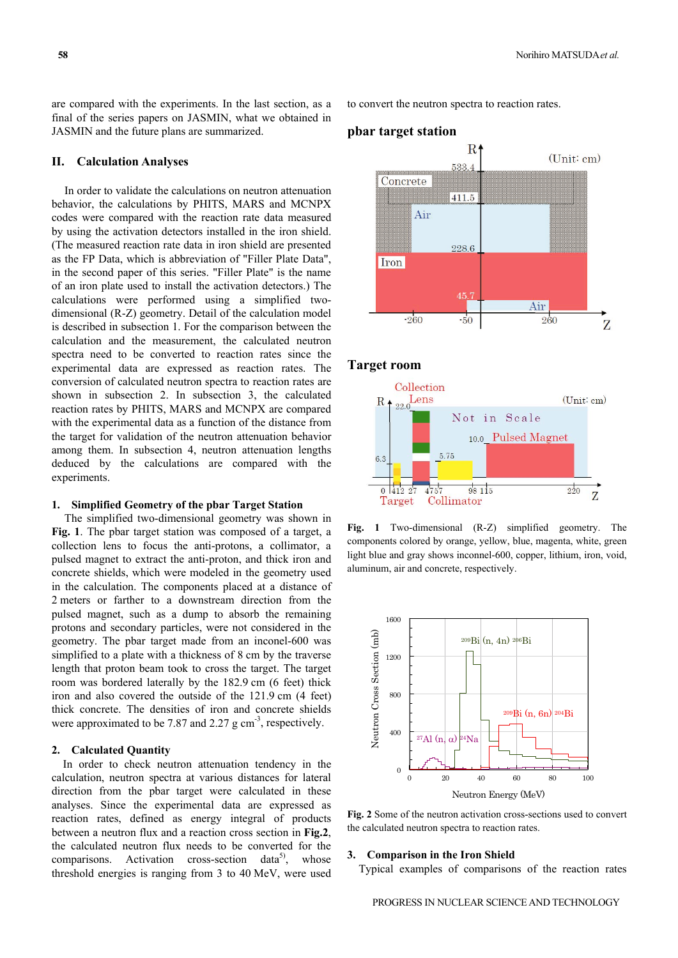are compared with the experiments. In the last section, as a final of the series papers on JASMIN, what we obtained in JASMIN and the future plans are summarized.

#### **II. Calculation Analyses**

In order to validate the calculations on neutron attenuation behavior, the calculations by PHITS, MARS and MCNPX codes were compared with the reaction rate data measured by using the activation detectors installed in the iron shield. (The measured reaction rate data in iron shield are presented as the FP Data, which is abbreviation of "Filler Plate Data", in the second paper of this series. "Filler Plate" is the name of an iron plate used to install the activation detectors.) The calculations were performed using a simplified twodimensional (R-Z) geometry. Detail of the calculation model is described in subsection 1. For the comparison between the calculation and the measurement, the calculated neutron spectra need to be converted to reaction rates since the experimental data are expressed as reaction rates. The conversion of calculated neutron spectra to reaction rates are shown in subsection 2. In subsection 3, the calculated reaction rates by PHITS, MARS and MCNPX are compared with the experimental data as a function of the distance from the target for validation of the neutron attenuation behavior among them. In subsection 4, neutron attenuation lengths deduced by the calculations are compared with the experiments.

#### **1. Simplified Geometry of the pbar Target Station**

The simplified two-dimensional geometry was shown in **Fig. 1**. The pbar target station was composed of a target, a collection lens to focus the anti-protons, a collimator, a pulsed magnet to extract the anti-proton, and thick iron and concrete shields, which were modeled in the geometry used in the calculation. The components placed at a distance of 2 meters or farther to a downstream direction from the pulsed magnet, such as a dump to absorb the remaining protons and secondary particles, were not considered in the geometry. The pbar target made from an inconel-600 was simplified to a plate with a thickness of 8 cm by the traverse length that proton beam took to cross the target. The target room was bordered laterally by the 182.9 cm (6 feet) thick iron and also covered the outside of the 121.9 cm (4 feet) thick concrete. The densities of iron and concrete shields were approximated to be 7.87 and 2.27  $\mu$  cm<sup>-3</sup>, respectively.

## **2. Calculated Quantity**

In order to check neutron attenuation tendency in the calculation, neutron spectra at various distances for lateral direction from the pbar target were calculated in these analyses. Since the experimental data are expressed as reaction rates, defined as energy integral of products between a neutron flux and a reaction cross section in **Fig.2**, the calculated neutron flux needs to be converted for the comparisons. Activation cross-section data<sup>5)</sup>, whose threshold energies is ranging from 3 to 40 MeV, were used to convert the neutron spectra to reaction rates.



#### **Target room**



Fig. 1 Two-dimensional (R-Z) simplified geometry. The components colored by orange, yellow, blue, magenta, white, green light blue and gray shows inconnel-600, copper, lithium, iron, void, aluminum, air and concrete, respectively.



**Fig. 2** Some of the neutron activation cross-sections used to convert the calculated neutron spectra to reaction rates.

#### **3. Comparison in the Iron Shield**

Typical examples of comparisons of the reaction rates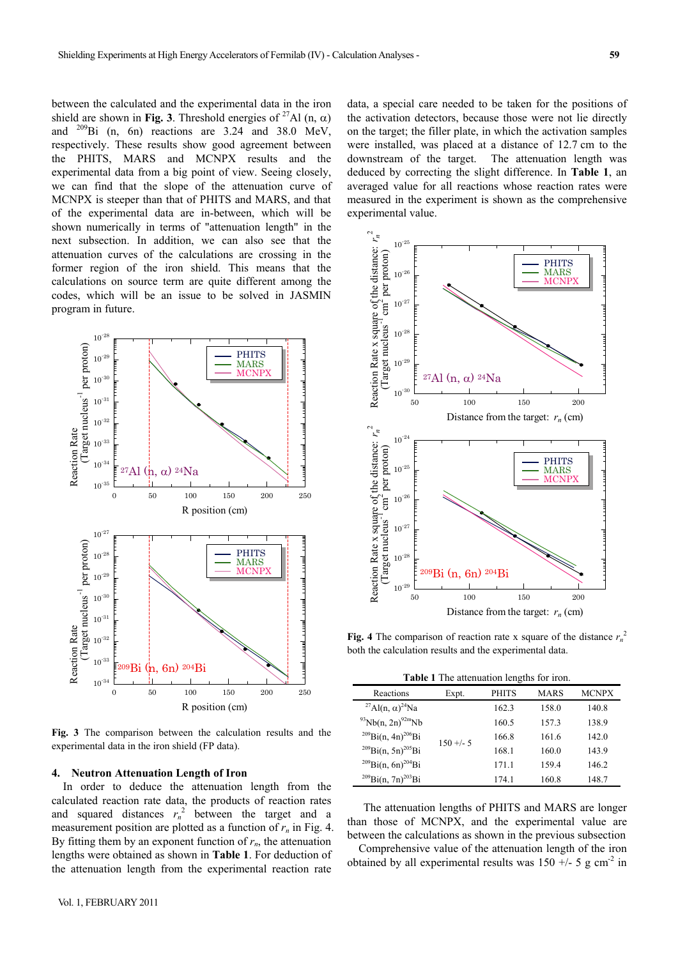between the calculated and the experimental data in the iron shield are shown in **Fig. 3**. Threshold energies of <sup>27</sup>Al (n,  $\alpha$ ) and  $^{209}$ Bi (n, 6n) reactions are 3.24 and 38.0 MeV, respectively. These results show good agreement between the PHITS, MARS and MCNPX results and the experimental data from a big point of view. Seeing closely, we can find that the slope of the attenuation curve of MCNPX is steeper than that of PHITS and MARS, and that of the experimental data are in-between, which will be shown numerically in terms of "attenuation length" in the next subsection. In addition, we can also see that the attenuation curves of the calculations are crossing in the former region of the iron shield. This means that the calculations on source term are quite different among the codes, which will be an issue to be solved in JASMIN program in future.



**Fig. 3** The comparison between the calculation results and the experimental data in the iron shield (FP data).

#### **4. Neutron Attenuation Length of Iron**

In order to deduce the attenuation length from the calculated reaction rate data, the products of reaction rates and squared distances  $r_n^2$  between the target and a measurement position are plotted as a function of  $r_n$  in Fig. 4. By fitting them by an exponent function of  $r_n$ , the attenuation lengths were obtained as shown in **Table 1**. For deduction of the attenuation length from the experimental reaction rate

data, a special care needed to be taken for the positions of the activation detectors, because those were not lie directly on the target; the filler plate, in which the activation samples were installed, was placed at a distance of 12.7 cm to the downstream of the target. The attenuation length was deduced by correcting the slight difference. In **Table 1**, an averaged value for all reactions whose reaction rates were measured in the experiment is shown as the comprehensive experimental value.



**Fig. 4** The comparison of reaction rate x square of the distance  $r_n^2$ both the calculation results and the experimental data.

**Table 1** The attenuation lengths for iron.

| Reactions                                       | Expt.      | PHITS | MARS  | <b>MCNPX</b> |
|-------------------------------------------------|------------|-------|-------|--------------|
| <sup>27</sup> Al(n, $\alpha$ ) <sup>24</sup> Na | $150 + -5$ | 162.3 | 158.0 | 140.8        |
| $^{93}Nb(n, 2n)^{92m}Nb$                        |            | 160.5 | 157.3 | 138.9        |
| $^{209}$ Bi(n, 4n) <sup>206</sup> Bi            |            | 166.8 | 161.6 | 142.0        |
| $^{209}$ Bi(n, 5n) <sup>205</sup> Bi            |            | 168.1 | 160.0 | 143.9        |
| $^{209}$ Bi(n, 6n) <sup>204</sup> Bi            |            | 171.1 | 159.4 | 146.2        |
| $^{209}$ Bi(n, 7n) <sup>203</sup> Bi            |            | 174.1 | 160.8 | 148.7        |

The attenuation lengths of PHITS and MARS are longer than those of MCNPX, and the experimental value are between the calculations as shown in the previous subsection

Comprehensive value of the attenuation length of the iron obtained by all experimental results was  $150 + (-5)$  g cm<sup>-2</sup> in